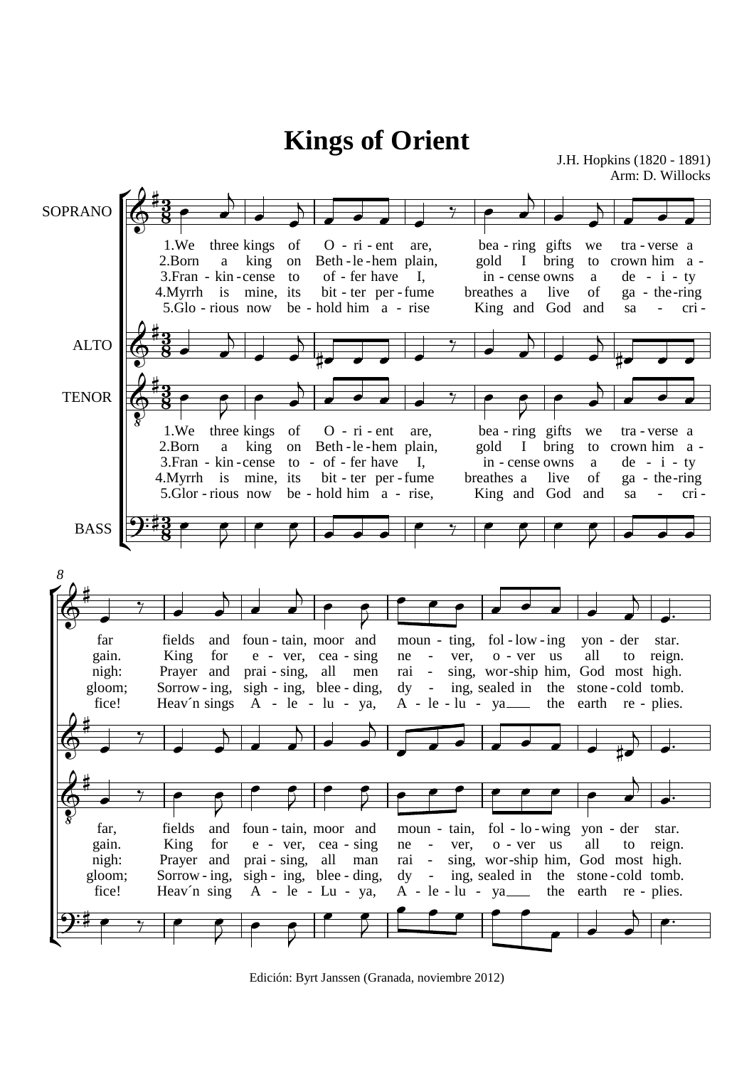## ÍÉ Ľ ÍÉ Ľ SOPRANO ALTO **TENOR** BASS 1.We 2.Born 3. Fran - kin - cense 4.Myrrh is mine, its 5.Glo - rious now three kings a king of on to be - hold him a - rise  $O - ri - ent$ Beth - le - hem plain, of - fer have bit - ter per - fume are, I, bea - ring gifts gold I bring in - cense owns breathes a King and God and live we to a of tra-verse a crown him a  $de - i - ty$ ga - the-ring sa - cri - 1.We 2.Born 3. Fran - kin - cense 4.Myrrh is mine, its 5.Glor - rious now three kings a king of on to - of - fer have be - hold him a - rise,  $O - ri - ent$ Beth - le - hem plain, bit - ter per - fume are, I, bea - ring gifts gold in - cense owns breathes a King and I bring live God we to a of and tra-verse a crown him a  $de - i - ty$ ga - the-ring sa - cri far gain. nigh: gloom; fice! fields and King Prayer and prai - sing, all men Sorrow - ing, Heav´n sings for foun - tain, moor and e - ver, cea - sing sigh - ing, blee - ding, A le - lu-ya, moun - ting, fol - low - ing yon ne rai dy A - le - lu - ya ver, sing, wor-ship him, God most high. ing, sealed in - - o - ver us the stone-cold tomb. the earth all der to reign. re - plies. star. *8* far, gain. nigh: gloom; fice! fields King Prayer and Sorrow - ing, Heav´n sing and for foun - tain, moor and e - ver, cea - sing prai - sing, all man sigh - ing, blee - ding, A - le - Lu - ya, moun - tain, fol - lo - wing yon - der ne rai dy  $A - le - lu$ ver, sing, wor-ship him, God most high. ing, sealed in - - o - ver us - ya the stone-cold tomb. the earth all to reign. re - plies. star. <u>3</u>  $\frac{3}{8}$ <u>3</u>  $\frac{3}{8}$ <u>3</u>  $\frac{3}{8}$ <u>3</u> <u>ชี</u><br>8  $\Phi$  $\sharp$ J.H. Hopkins (1820 - 1891) Arm: D. Willocks **Kings of Orient**  $\Phi$  $\sharp$  $\Phi$  $\frac{1}{8}$  $\sharp$  $9:4$  $\Phi$  $\sharp$  $\Phi$ ‡<br>‡  $\Phi$  $\frac{1}{8}$  $\sharp$  $9:4$  $\overrightarrow{ }$  $\overline{a}$  $\overrightarrow{\cdot}$  $\overline{K}$  $\overrightarrow{a}$  $\gamma$   $\sim$  $\overline{a}$  $\overrightarrow{ }$  $\overline{N}$  $\overrightarrow{ }$  $\overrightarrow{\cdot}$  $\overline{a}$  $\overrightarrow{\cdot}$  $\overline{K}$  $\frac{1}{4}$  $\ddot{\mathbf{y}}$  $\overline{\phantom{0}}$  $\overline{\phantom{a}}$  $\overline{K}$  $\frac{1}{4}$   $\frac{1}{4}$   $\frac{1}{4}$   $\frac{1}{4}$   $\frac{1}{4}$   $\frac{1}{4}$   $\frac{1}{4}$   $\frac{1}{4}$   $\frac{1}{4}$   $\frac{1}{4}$   $\frac{1}{4}$   $\frac{1}{4}$   $\frac{1}{4}$   $\frac{1}{4}$   $\frac{1}{4}$   $\frac{1}{4}$   $\frac{1}{4}$   $\frac{1}{4}$   $\frac{1}{4}$   $\frac{1}{4}$   $\frac{1}{4}$   $\frac{1}{4}$   $\overline{\qquad \qquad }$  $\overline{P}$  $\overrightarrow{\cdot}$  $\mathbf{A}$  $\overrightarrow{a}$  $\gamma$   $\qquad$   $\sim$   $\sim$  $\overline{7}$  $\overrightarrow{\cdot}$  $\overline{A}$  $\overrightarrow{ }$  $\overline{\phantom{a}}$  $\overline{V}$  $\overline{\phantom{a}}$  $\nabla$  $\overrightarrow{\cdot}$  $\bullet$   $\bullet$   $\bullet$   $\bullet$ ₹  $\overline{\phantom{a}}$  $\overline{z}$  $\overrightarrow{\cdot}$  $\overline{\bullet}$  $\dddot{}$  $\overline{A}$   $\overline{P}$  $\overline{\bullet}$  $\overline{P}$  $\bullet$   $\bullet$   $\bullet$   $\bullet$   $\bullet$   $\bullet$  $\overline{\mathbf{A}}$  $\frac{1}{\cdot}$  $\overline{\bullet}$  $\frac{1}{7}$  $\overline{\phantom{a}}$  $\overline{\phantom{0}}$   $\overline{\phantom{0}}$  $\overrightarrow{\cdot}$  $\overline{A}$  $\overline{\phantom{a}}$  $\overline{\phantom{a}}$   $\overline{\phantom{a}}$   $\overline{\phantom{a}}$   $\overline{\phantom{a}}$   $\overline{\phantom{a}}$   $\overline{\phantom{a}}$   $\overline{\phantom{a}}$   $\overline{\phantom{a}}$   $\overline{\phantom{a}}$   $\overline{\phantom{a}}$   $\overline{\phantom{a}}$   $\overline{\phantom{a}}$   $\overline{\phantom{a}}$   $\overline{\phantom{a}}$   $\overline{\phantom{a}}$   $\overline{\phantom{a}}$   $\overline{\phantom{a}}$   $\overline{\phantom{a}}$   $\overline{\$  $\overline{\overline{}}$  $\frac{1}{\bullet}$  $\overline{\bullet}$  $\gamma$   $\qquad \qquad \bullet$  $\overline{P}$  $\overline{\cdot}$  $\bar{\bar{z}}$  $\overline{\cdot}$  $\bar{\bar{z}}$  $\overline{\phantom{a}}$   $\overline{\phantom{a}}$   $\overline{\phantom{a}}$   $\overline{\phantom{a}}$   $\overline{\phantom{a}}$   $\overline{\phantom{a}}$   $\overline{\phantom{a}}$   $\overline{\phantom{a}}$   $\overline{\phantom{a}}$   $\overline{\phantom{a}}$   $\overline{\phantom{a}}$   $\overline{\phantom{a}}$   $\overline{\phantom{a}}$   $\overline{\phantom{a}}$   $\overline{\phantom{a}}$   $\overline{\phantom{a}}$   $\overline{\phantom{a}}$   $\overline{\phantom{a}}$   $\overline{\$  $\overline{a}$  $\frac{1}{\cdot}$  $\bullet$   $\bullet$   $\bullet$   $\bullet$ ₹  $\overline{\bullet}$  $\overline{P}$  $\overline{\phantom{a}}$  $\bar{z}$  $\bullet$   $\bullet$   $\bullet$   $\bullet$   $\bullet$  $\overrightarrow{ }$

Edición: Byrt Janssen (Granada, noviembre 2012)